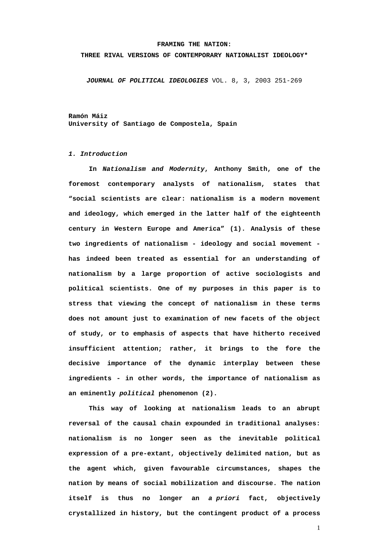#### **FRAMING THE NATION:**

#### **THREE RIVAL VERSIONS OF CONTEMPORARY NATIONALIST IDEOLOGY\***

*JOURNAL OF POLITICAL IDEOLOGIES* VOL. 8, 3, 2003 251-269

**Ramón Máiz University of Santiago de Compostela, Spain** 

### *1. Introduction*

**In** *Nationalism and Modernity***, Anthony Smith, one of the foremost contemporary analysts of nationalism, states that "social scientists are clear: nationalism is a modern movement and ideology, which emerged in the latter half of the eighteenth century in Western Europe and America" (1). Analysis of these two ingredients of nationalism - ideology and social movement has indeed been treated as essential for an understanding of nationalism by a large proportion of active sociologists and political scientists. One of my purposes in this paper is to stress that viewing the concept of nationalism in these terms does not amount just to examination of new facets of the object of study, or to emphasis of aspects that have hitherto received insufficient attention; rather, it brings to the fore the decisive importance of the dynamic interplay between these ingredients - in other words, the importance of nationalism as an eminently** *political* **phenomenon (2).** 

**This way of looking at nationalism leads to an abrupt reversal of the causal chain expounded in traditional analyses: nationalism is no longer seen as the inevitable political expression of a pre-extant, objectively delimited nation, but as the agent which, given favourable circumstances, shapes the nation by means of social mobilization and discourse. The nation itself is thus no longer an** *a priori* **fact, objectively crystallized in history, but the contingent product of a process**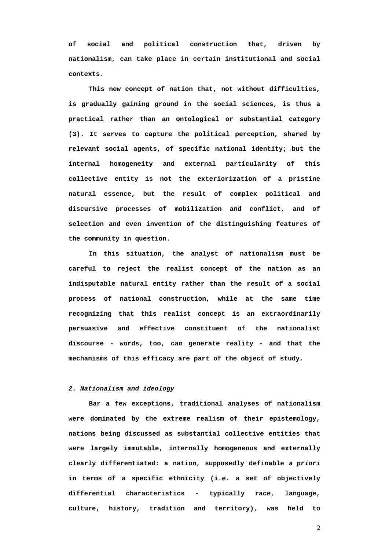**of social and political construction that, driven by nationalism, can take place in certain institutional and social contexts.** 

**This new concept of nation that, not without difficulties, is gradually gaining ground in the social sciences, is thus a practical rather than an ontological or substantial category (3). It serves to capture the political perception, shared by relevant social agents, of specific national identity; but the internal homogeneity and external particularity of this collective entity is not the exteriorization of a pristine natural essence, but the result of complex political and discursive processes of mobilization and conflict, and of selection and even invention of the distinguishing features of the community in question.** 

**In this situation, the analyst of nationalism must be careful to reject the realist concept of the nation as an indisputable natural entity rather than the result of a social process of national construction, while at the same time recognizing that this realist concept is an extraordinarily persuasive and effective constituent of the nationalist discourse - words, too, can generate reality - and that the mechanisms of this efficacy are part of the object of study.** 

## *2. Nationalism and ideology*

**Bar a few exceptions, traditional analyses of nationalism were dominated by the extreme realism of their epistemology, nations being discussed as substantial collective entities that were largely immutable, internally homogeneous and externally clearly differentiated: a nation, supposedly definable** *a priori* **in terms of a specific ethnicity (i.e. a set of objectively differential characteristics - typically race, language, culture, history, tradition and territory), was held to**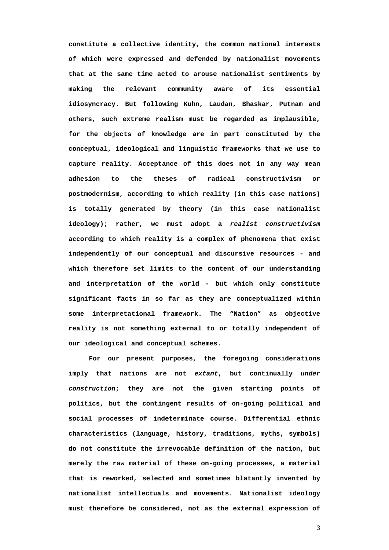**constitute a collective identity, the common national interests of which were expressed and defended by nationalist movements that at the same time acted to arouse nationalist sentiments by making the relevant community aware of its essential idiosyncracy. But following Kuhn, Laudan, Bhaskar, Putnam and others, such extreme realism must be regarded as implausible, for the objects of knowledge are in part constituted by the conceptual, ideological and linguistic frameworks that we use to capture reality. Acceptance of this does not in any way mean adhesion to the theses of radical constructivism or postmodernism, according to which reality (in this case nations) is totally generated by theory (in this case nationalist ideology); rather, we must adopt a** *realist constructivism* **according to which reality is a complex of phenomena that exist independently of our conceptual and discursive resources - and which therefore set limits to the content of our understanding and interpretation of the world - but which only constitute significant facts in so far as they are conceptualized within some interpretational framework. The "Nation" as objective reality is not something external to or totally independent of our ideological and conceptual schemes.** 

**For our present purposes, the foregoing considerations imply that nations are not** *extant***, but continually** *under construction***; they are not the given starting points of politics, but the contingent results of on-going political and social processes of indeterminate course. Differential ethnic characteristics (language, history, traditions, myths, symbols) do not constitute the irrevocable definition of the nation, but merely the raw material of these on-going processes, a material that is reworked, selected and sometimes blatantly invented by nationalist intellectuals and movements. Nationalist ideology must therefore be considered, not as the external expression of**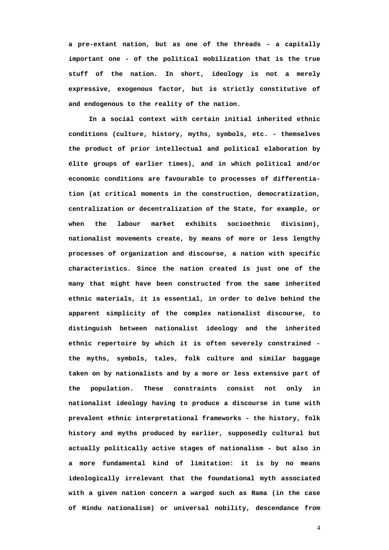**a pre-extant nation, but as one of the threads - a capitally important one - of the political mobilization that is the true stuff of the nation. In short, ideology is not a merely expressive, exogenous factor, but is strictly constitutive of and endogenous to the reality of the nation.** 

**In a social context with certain initial inherited ethnic conditions (culture, history, myths, symbols, etc. - themselves the product of prior intellectual and political elaboration by élite groups of earlier times), and in which political and/or economic conditions are favourable to processes of differentiation (at critical moments in the construction, democratization, centralization or decentralization of the State, for example, or when the labour market exhibits socioethnic division), nationalist movements create, by means of more or less lengthy processes of organization and discourse, a nation with specific characteristics. Since the nation created is just one of the many that might have been constructed from the same inherited ethnic materials, it is essential, in order to delve behind the apparent simplicity of the complex nationalist discourse, to distinguish between nationalist ideology and the inherited ethnic repertoire by which it is often severely constrained the myths, symbols, tales, folk culture and similar baggage taken on by nationalists and by a more or less extensive part of the population. These constraints consist not only in nationalist ideology having to produce a discourse in tune with prevalent ethnic interpretational frameworks - the history, folk history and myths produced by earlier, supposedly cultural but actually politically active stages of nationalism - but also in a more fundamental kind of limitation: it is by no means ideologically irrelevant that the foundational myth associated with a given nation concern a wargod such as Rama (in the case of Hindu nationalism) or universal nobility, descendance from**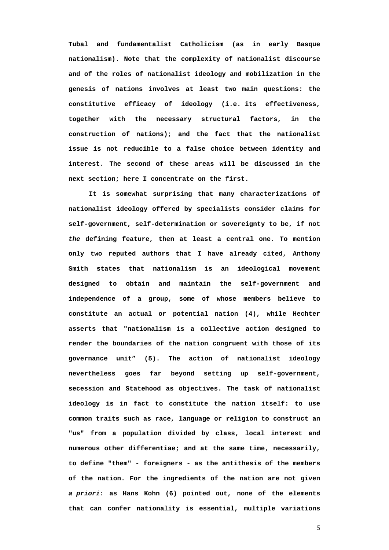**Tubal and fundamentalist Catholicism (as in early Basque nationalism). Note that the complexity of nationalist discourse and of the roles of nationalist ideology and mobilization in the genesis of nations involves at least two main questions: the constitutive efficacy of ideology (i.e. its effectiveness, together with the necessary structural factors, in the construction of nations); and the fact that the nationalist issue is not reducible to a false choice between identity and interest. The second of these areas will be discussed in the next section; here I concentrate on the first.** 

**It is somewhat surprising that many characterizations of nationalist ideology offered by specialists consider claims for self-government, self-determination or sovereignty to be, if not**  *the* **defining feature, then at least a central one. To mention only two reputed authors that I have already cited, Anthony Smith states that nationalism is an ideological movement designed to obtain and maintain the self-government and independence of a group, some of whose members believe to constitute an actual or potential nation (4), while Hechter asserts that "nationalism is a collective action designed to render the boundaries of the nation congruent with those of its governance unit" (5). The action of nationalist ideology nevertheless goes far beyond setting up self-government, secession and Statehood as objectives. The task of nationalist ideology is in fact to constitute the nation itself: to use common traits such as race, language or religion to construct an "us" from a population divided by class, local interest and numerous other differentiae; and at the same time, necessarily, to define "them" - foreigners - as the antithesis of the members of the nation. For the ingredients of the nation are not given**  *a priori***: as Hans Kohn (6) pointed out, none of the elements that can confer nationality is essential, multiple variations**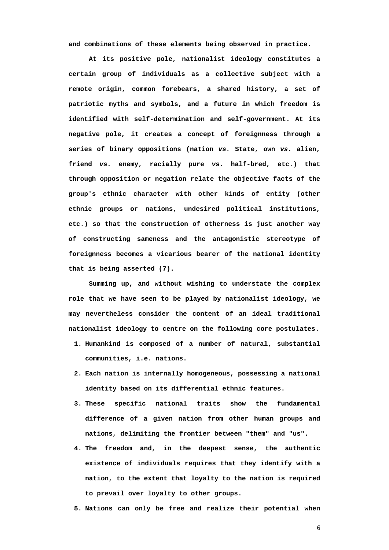**and combinations of these elements being observed in practice.** 

**At its positive pole, nationalist ideology constitutes a certain group of individuals as a collective subject with a remote origin, common forebears, a shared history, a set of patriotic myths and symbols, and a future in which freedom is identified with self-determination and self-government. At its negative pole, it creates a concept of foreignness through a series of binary oppositions (nation** *vs.* **State, own** *vs.* **alien, friend** *vs.* **enemy, racially pure** *vs***. half-bred, etc.) that through opposition or negation relate the objective facts of the group's ethnic character with other kinds of entity (other ethnic groups or nations, undesired political institutions, etc.) so that the construction of otherness is just another way of constructing sameness and the antagonistic stereotype of foreignness becomes a vicarious bearer of the national identity that is being asserted (7).** 

**Summing up, and without wishing to understate the complex role that we have seen to be played by nationalist ideology, we may nevertheless consider the content of an ideal traditional nationalist ideology to centre on the following core postulates.** 

- **1. Humankind is composed of a number of natural, substantial communities, i.e. nations.**
- **2. Each nation is internally homogeneous, possessing a national identity based on its differential ethnic features.**
- **3. These specific national traits show the fundamental difference of a given nation from other human groups and nations, delimiting the frontier between "them" and "us".**
- **4. The freedom and, in the deepest sense, the authentic existence of individuals requires that they identify with a nation, to the extent that loyalty to the nation is required to prevail over loyalty to other groups.**
- **5. Nations can only be free and realize their potential when**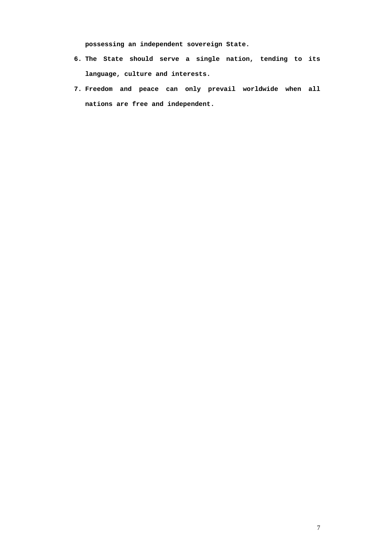**possessing an independent sovereign State.** 

- **6. The State should serve a single nation, tending to its language, culture and interests.**
- **7. Freedom and peace can only prevail worldwide when all nations are free and independent.**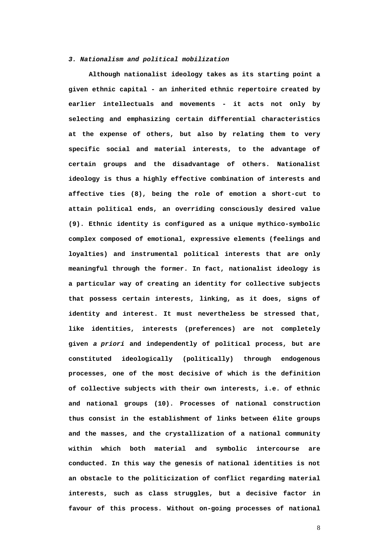### *3. Nationalism and political mobilization*

**Although nationalist ideology takes as its starting point a given ethnic capital - an inherited ethnic repertoire created by earlier intellectuals and movements - it acts not only by selecting and emphasizing certain differential characteristics at the expense of others, but also by relating them to very specific social and material interests, to the advantage of certain groups and the disadvantage of others. Nationalist ideology is thus a highly effective combination of interests and affective ties (8), being the role of emotion a short-cut to attain political ends, an overriding consciously desired value (9). Ethnic identity is configured as a unique mythico-symbolic complex composed of emotional, expressive elements (feelings and loyalties) and instrumental political interests that are only meaningful through the former. In fact, nationalist ideology is a particular way of creating an identity for collective subjects that possess certain interests, linking, as it does, signs of identity and interest. It must nevertheless be stressed that, like identities, interests (preferences) are not completely given** *a priori* **and independently of political process, but are constituted ideologically (politically) through endogenous processes, one of the most decisive of which is the definition of collective subjects with their own interests, i.e. of ethnic and national groups (10). Processes of national construction thus consist in the establishment of links between élite groups and the masses, and the crystallization of a national community within which both material and symbolic intercourse are conducted. In this way the genesis of national identities is not an obstacle to the politicization of conflict regarding material interests, such as class struggles, but a decisive factor in favour of this process. Without on-going processes of national**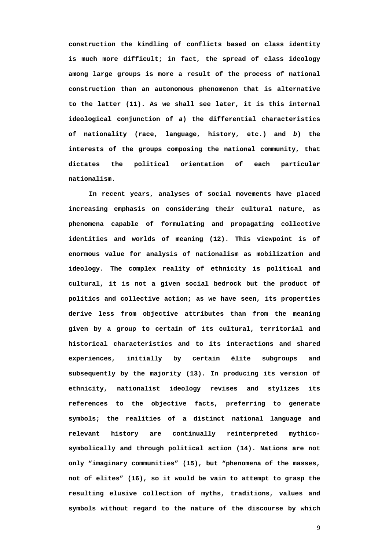**construction the kindling of conflicts based on class identity is much more difficult; in fact, the spread of class ideology among large groups is more a result of the process of national construction than an autonomous phenomenon that is alternative to the latter (11). As we shall see later, it is this internal ideological conjunction of** *a***) the differential characteristics of nationality (race, language, history, etc.) and** *b***) the interests of the groups composing the national community, that dictates the political orientation of each particular nationalism.** 

**In recent years, analyses of social movements have placed increasing emphasis on considering their cultural nature, as phenomena capable of formulating and propagating collective identities and worlds of meaning (12). This viewpoint is of enormous value for analysis of nationalism as mobilization and ideology. The complex reality of ethnicity is political and cultural, it is not a given social bedrock but the product of politics and collective action; as we have seen, its properties derive less from objective attributes than from the meaning given by a group to certain of its cultural, territorial and historical characteristics and to its interactions and shared experiences, initially by certain élite subgroups and subsequently by the majority (13). In producing its version of ethnicity, nationalist ideology revises and stylizes its references to the objective facts, preferring to generate symbols; the realities of a distinct national language and relevant history are continually reinterpreted mythicosymbolically and through political action (14). Nations are not only "imaginary communities" (15), but "phenomena of the masses, not of elites" (16), so it would be vain to attempt to grasp the resulting elusive collection of myths, traditions, values and symbols without regard to the nature of the discourse by which**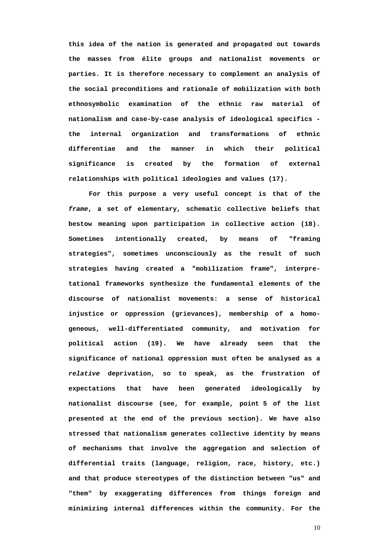**this idea of the nation is generated and propagated out towards the masses from élite groups and nationalist movements or parties. It is therefore necessary to complement an analysis of the social preconditions and rationale of mobilization with both ethnosymbolic examination of the ethnic raw material of nationalism and case-by-case analysis of ideological specifics the internal organization and transformations of ethnic differentiae and the manner in which their political significance is created by the formation of external relationships with political ideologies and values (17).** 

**For this purpose a very useful concept is that of the**  *frame***, a set of elementary, schematic collective beliefs that bestow meaning upon participation in collective action (18). Sometimes intentionally created, by means of "framing strategies", sometimes unconsciously as the result of such strategies having created a "mobilization frame", interpretational frameworks synthesize the fundamental elements of the discourse of nationalist movements: a sense of historical injustice or oppression (grievances), membership of a homogeneous, well-differentiated community, and motivation for political action (19). We have already seen that the significance of national oppression must often be analysed as a**  *relative* **deprivation, so to speak, as the frustration of expectations that have been generated ideologically by nationalist discourse (see, for example, point 5 of the list presented at the end of the previous section). We have also stressed that nationalism generates collective identity by means of mechanisms that involve the aggregation and selection of differential traits (language, religion, race, history, etc.) and that produce stereotypes of the distinction between "us" and "them" by exaggerating differences from things foreign and minimizing internal differences within the community. For the**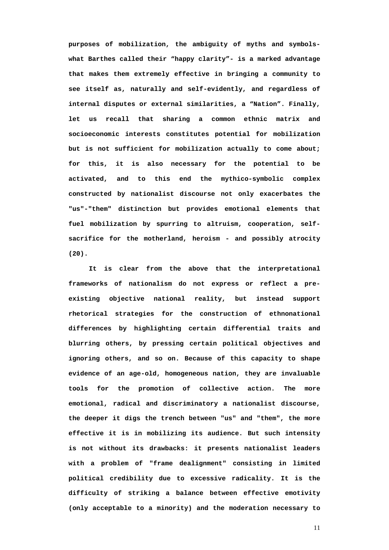**purposes of mobilization, the ambiguity of myths and symbolswhat Barthes called their "happy clarity"- is a marked advantage that makes them extremely effective in bringing a community to see itself as, naturally and self-evidently, and regardless of internal disputes or external similarities, a "Nation". Finally, let us recall that sharing a common ethnic matrix and socioeconomic interests constitutes potential for mobilization but is not sufficient for mobilization actually to come about; for this, it is also necessary for the potential to be activated, and to this end the mythico-symbolic complex constructed by nationalist discourse not only exacerbates the "us"-"them" distinction but provides emotional elements that fuel mobilization by spurring to altruism, cooperation, selfsacrifice for the motherland, heroism - and possibly atrocity (20).** 

**It is clear from the above that the interpretational frameworks of nationalism do not express or reflect a preexisting objective national reality, but instead support rhetorical strategies for the construction of ethnonational differences by highlighting certain differential traits and blurring others, by pressing certain political objectives and ignoring others, and so on. Because of this capacity to shape evidence of an age-old, homogeneous nation, they are invaluable tools for the promotion of collective action. The more emotional, radical and discriminatory a nationalist discourse, the deeper it digs the trench between "us" and "them", the more effective it is in mobilizing its audience. But such intensity is not without its drawbacks: it presents nationalist leaders with a problem of "frame dealignment" consisting in limited political credibility due to excessive radicality. It is the difficulty of striking a balance between effective emotivity (only acceptable to a minority) and the moderation necessary to**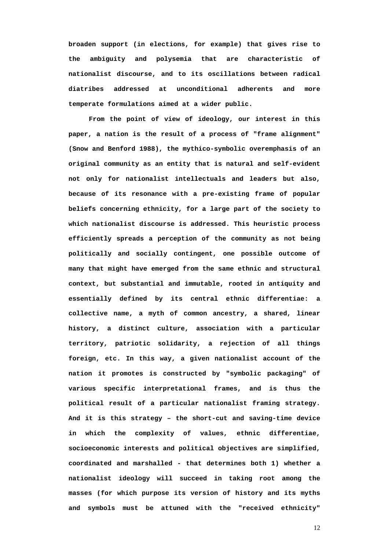**broaden support (in elections, for example) that gives rise to the ambiguity and polysemia that are characteristic of nationalist discourse, and to its oscillations between radical diatribes addressed at unconditional adherents and more temperate formulations aimed at a wider public.** 

**From the point of view of ideology, our interest in this paper, a nation is the result of a process of "frame alignment" (Snow and Benford 1988), the mythico-symbolic overemphasis of an original community as an entity that is natural and self-evident not only for nationalist intellectuals and leaders but also, because of its resonance with a pre-existing frame of popular beliefs concerning ethnicity, for a large part of the society to which nationalist discourse is addressed. This heuristic process efficiently spreads a perception of the community as not being politically and socially contingent, one possible outcome of many that might have emerged from the same ethnic and structural context, but substantial and immutable, rooted in antiquity and essentially defined by its central ethnic differentiae: a collective name, a myth of common ancestry, a shared, linear history, a distinct culture, association with a particular territory, patriotic solidarity, a rejection of all things foreign, etc. In this way, a given nationalist account of the nation it promotes is constructed by "symbolic packaging" of various specific interpretational frames, and is thus the political result of a particular nationalist framing strategy. And it is this strategy – the short-cut and saving-time device in which the complexity of values, ethnic differentiae, socioeconomic interests and political objectives are simplified, coordinated and marshalled - that determines both 1) whether a nationalist ideology will succeed in taking root among the masses (for which purpose its version of history and its myths and symbols must be attuned with the "received ethnicity"**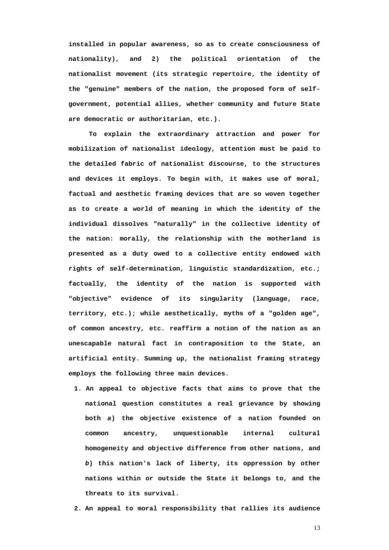**installed in popular awareness, so as to create consciousness of nationality), and 2) the political orientation of the nationalist movement (its strategic repertoire, the identity of the "genuine" members of the nation, the proposed form of selfgovernment, potential allies, whether community and future State are democratic or authoritarian, etc.).** 

**To explain the extraordinary attraction and power for mobilization of nationalist ideology, attention must be paid to the detailed fabric of nationalist discourse, to the structures and devices it employs. To begin with, it makes use of moral, factual and aesthetic framing devices that are so woven together as to create a world of meaning in which the identity of the individual dissolves "naturally" in the collective identity of the nation: morally, the relationship with the motherland is presented as a duty owed to a collective entity endowed with rights of self-determination, linguistic standardization, etc.; factually, the identity of the nation is supported with "objective" evidence of its singularity (language, race, territory, etc.); while aesthetically, myths of a "golden age", of common ancestry, etc. reaffirm a notion of the nation as an unescapable natural fact in contraposition to the State, an artificial entity. Summing up, the nationalist framing strategy employs the following three main devices.** 

**1. An appeal to objective facts that aims to prove that the national question constitutes a real grievance by showing both** *a***) the objective existence of a nation founded on common ancestry, unquestionable internal cultural homogeneity and objective difference from other nations, and**  *b***) this nation's lack of liberty, its oppression by other nations within or outside the State it belongs to, and the threats to its survival.** 

**2. An appeal to moral responsibility that rallies its audience**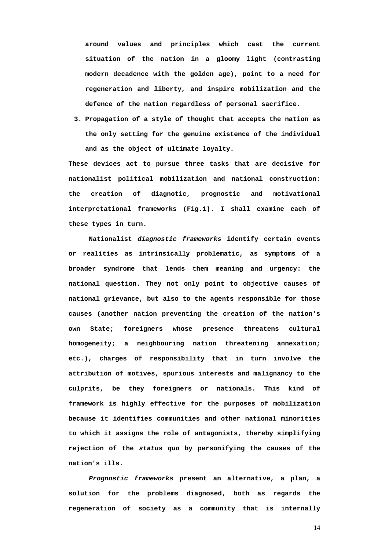**around values and principles which cast the current situation of the nation in a gloomy light (contrasting modern decadence with the golden age), point to a need for regeneration and liberty, and inspire mobilization and the defence of the nation regardless of personal sacrifice.** 

**3. Propagation of a style of thought that accepts the nation as the only setting for the genuine existence of the individual and as the object of ultimate loyalty.** 

**These devices act to pursue three tasks that are decisive for nationalist political mobilization and national construction: the creation of diagnotic, prognostic and motivational interpretational frameworks (Fig.1). I shall examine each of these types in turn.** 

**Nationalist** *diagnostic frameworks* **identify certain events or realities as intrinsically problematic, as symptoms of a broader syndrome that lends them meaning and urgency: the national question. They not only point to objective causes of national grievance, but also to the agents responsible for those causes (another nation preventing the creation of the nation's own State; foreigners whose presence threatens cultural homogeneity; a neighbouring nation threatening annexation; etc.), charges of responsibility that in turn involve the attribution of motives, spurious interests and malignancy to the culprits, be they foreigners or nationals. This kind of framework is highly effective for the purposes of mobilization because it identifies communities and other national minorities to which it assigns the role of antagonists, thereby simplifying rejection of the** *status quo* **by personifying the causes of the nation's ills.** 

*Prognostic frameworks* **present an alternative, a plan, a solution for the problems diagnosed, both as regards the regeneration of society as a community that is internally**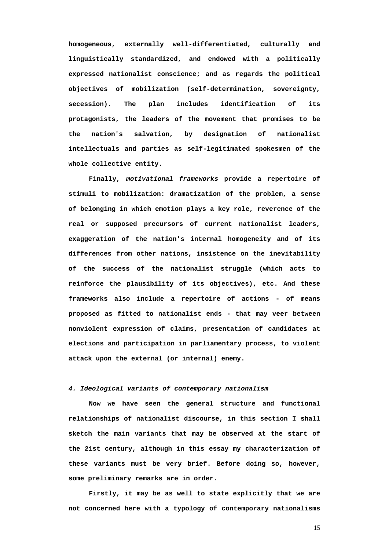**homogeneous, externally well-differentiated, culturally and linguistically standardized, and endowed with a politically expressed nationalist conscience; and as regards the political objectives of mobilization (self-determination, sovereignty, secession). The plan includes identification of its protagonists, the leaders of the movement that promises to be the nation's salvation, by designation of nationalist intellectuals and parties as self-legitimated spokesmen of the whole collective entity.** 

**Finally,** *motivational frameworks* **provide a repertoire of stimuli to mobilization: dramatization of the problem, a sense of belonging in which emotion plays a key role, reverence of the real or supposed precursors of current nationalist leaders, exaggeration of the nation's internal homogeneity and of its differences from other nations, insistence on the inevitability of the success of the nationalist struggle (which acts to reinforce the plausibility of its objectives), etc. And these frameworks also include a repertoire of actions - of means proposed as fitted to nationalist ends - that may veer between nonviolent expression of claims, presentation of candidates at elections and participation in parliamentary process, to violent attack upon the external (or internal) enemy.** 

# *4. Ideological variants of contemporary nationalism*

**Now we have seen the general structure and functional relationships of nationalist discourse, in this section I shall sketch the main variants that may be observed at the start of the 21st century, although in this essay my characterization of these variants must be very brief. Before doing so, however, some preliminary remarks are in order.** 

**Firstly, it may be as well to state explicitly that we are not concerned here with a typology of contemporary nationalisms**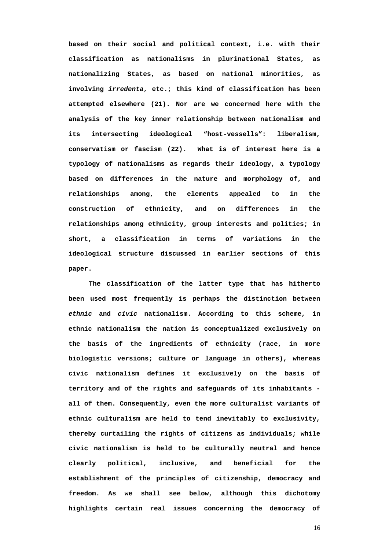**based on their social and political context, i.e. with their classification as nationalisms in plurinational States, as nationalizing States, as based on national minorities, as involving** *irredenta***, etc.; this kind of classification has been attempted elsewhere (21). Nor are we concerned here with the analysis of the key inner relationship between nationalism and its intersecting ideological "host-vessells": liberalism, conservatism or fascism (22). What is of interest here is a typology of nationalisms as regards their ideology, a typology based on differences in the nature and morphology of, and relationships among, the elements appealed to in the construction of ethnicity, and on differences in the relationships among ethnicity, group interests and politics; in short, a classification in terms of variations in the ideological structure discussed in earlier sections of this paper.** 

**The classification of the latter type that has hitherto been used most frequently is perhaps the distinction between**  *ethnic* **and** *civic* **nationalism. According to this scheme, in ethnic nationalism the nation is conceptualized exclusively on the basis of the ingredients of ethnicity (race, in more biologistic versions; culture or language in others), whereas civic nationalism defines it exclusively on the basis of territory and of the rights and safeguards of its inhabitants all of them. Consequently, even the more culturalist variants of ethnic culturalism are held to tend inevitably to exclusivity, thereby curtailing the rights of citizens as individuals; while civic nationalism is held to be culturally neutral and hence clearly political, inclusive, and beneficial for the establishment of the principles of citizenship, democracy and freedom. As we shall see below, although this dichotomy highlights certain real issues concerning the democracy of**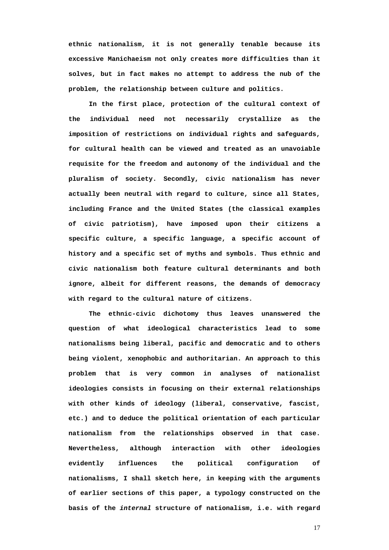**ethnic nationalism, it is not generally tenable because its excessive Manichaeism not only creates more difficulties than it solves, but in fact makes no attempt to address the nub of the problem, the relationship between culture and politics.** 

**In the first place, protection of the cultural context of the individual need not necessarily crystallize as the imposition of restrictions on individual rights and safeguards, for cultural health can be viewed and treated as an unavoiable requisite for the freedom and autonomy of the individual and the pluralism of society. Secondly, civic nationalism has never actually been neutral with regard to culture, since all States, including France and the United States (the classical examples of civic patriotism), have imposed upon their citizens a specific culture, a specific language, a specific account of history and a specific set of myths and symbols. Thus ethnic and civic nationalism both feature cultural determinants and both ignore, albeit for different reasons, the demands of democracy with regard to the cultural nature of citizens.** 

**The ethnic-civic dichotomy thus leaves unanswered the question of what ideological characteristics lead to some nationalisms being liberal, pacific and democratic and to others being violent, xenophobic and authoritarian. An approach to this problem that is very common in analyses of nationalist ideologies consists in focusing on their external relationships with other kinds of ideology (liberal, conservative, fascist, etc.) and to deduce the political orientation of each particular nationalism from the relationships observed in that case. Nevertheless, although interaction with other ideologies evidently influences the political configuration of nationalisms, I shall sketch here, in keeping with the arguments of earlier sections of this paper, a typology constructed on the basis of the** *internal* **structure of nationalism, i.e. with regard**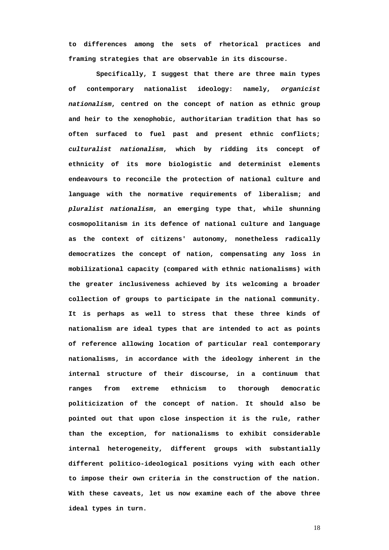**to differences among the sets of rhetorical practices and framing strategies that are observable in its discourse.** 

 **Specifically, I suggest that there are three main types of contemporary nationalist ideology: namely,** *organicist nationalism***, centred on the concept of nation as ethnic group and heir to the xenophobic, authoritarian tradition that has so often surfaced to fuel past and present ethnic conflicts;**  *culturalist nationalism***, which by ridding its concept of ethnicity of its more biologistic and determinist elements endeavours to reconcile the protection of national culture and language with the normative requirements of liberalism; and**  *pluralist nationalism***, an emerging type that, while shunning cosmopolitanism in its defence of national culture and language as the context of citizens' autonomy, nonetheless radically democratizes the concept of nation, compensating any loss in mobilizational capacity (compared with ethnic nationalisms) with the greater inclusiveness achieved by its welcoming a broader collection of groups to participate in the national community. It is perhaps as well to stress that these three kinds of nationalism are ideal types that are intended to act as points of reference allowing location of particular real contemporary nationalisms, in accordance with the ideology inherent in the internal structure of their discourse, in a continuum that ranges from extreme ethnicism to thorough democratic politicization of the concept of nation. It should also be pointed out that upon close inspection it is the rule, rather than the exception, for nationalisms to exhibit considerable internal heterogeneity, different groups with substantially different politico-ideological positions vying with each other to impose their own criteria in the construction of the nation. With these caveats, let us now examine each of the above three ideal types in turn.**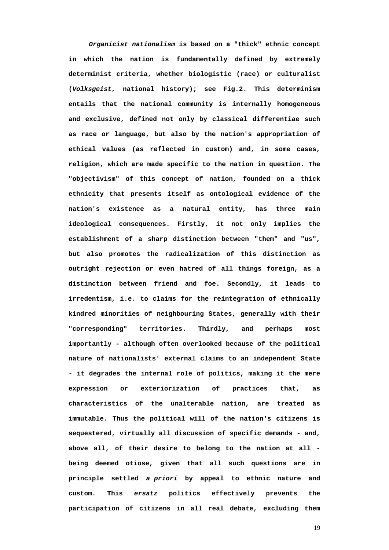*Organicist nationalism* **is based on a "thick" ethnic concept in which the nation is fundamentally defined by extremely determinist criteria, whether biologistic (race) or culturalist (***Volksgeist***, national history); see Fig.2. This determinism entails that the national community is internally homogeneous and exclusive, defined not only by classical differentiae such as race or language, but also by the nation's appropriation of ethical values (as reflected in custom) and, in some cases, religion, which are made specific to the nation in question. The "objectivism" of this concept of nation, founded on a thick ethnicity that presents itself as ontological evidence of the nation's existence as a natural entity, has three main ideological consequences. Firstly, it not only implies the establishment of a sharp distinction between "them" and "us", but also promotes the radicalization of this distinction as outright rejection or even hatred of all things foreign, as a distinction between friend and foe. Secondly, it leads to irredentism, i.e. to claims for the reintegration of ethnically kindred minorities of neighbouring States, generally with their "corresponding" territories. Thirdly, and perhaps most importantly - although often overlooked because of the political nature of nationalists' external claims to an independent State - it degrades the internal role of politics, making it the mere expression or exteriorization of practices that, as characteristics of the unalterable nation, are treated as immutable. Thus the political will of the nation's citizens is sequestered, virtually all discussion of specific demands - and, above all, of their desire to belong to the nation at all being deemed otiose, given that all such questions are in principle settled** *a priori* **by appeal to ethnic nature and custom. This** *ersatz* **politics effectively prevents the participation of citizens in all real debate, excluding them**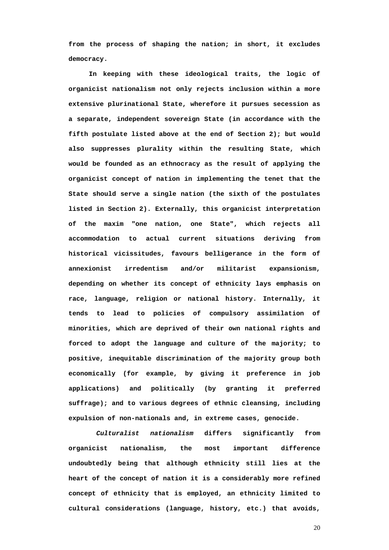**from the process of shaping the nation; in short, it excludes democracy.** 

**In keeping with these ideological traits, the logic of organicist nationalism not only rejects inclusion within a more extensive plurinational State, wherefore it pursues secession as a separate, independent sovereign State (in accordance with the fifth postulate listed above at the end of Section 2); but would also suppresses plurality within the resulting State, which would be founded as an ethnocracy as the result of applying the organicist concept of nation in implementing the tenet that the State should serve a single nation (the sixth of the postulates listed in Section 2). Externally, this organicist interpretation of the maxim "one nation, one State", which rejects all accommodation to actual current situations deriving from historical vicissitudes, favours belligerance in the form of annexionist irredentism and/or militarist expansionism, depending on whether its concept of ethnicity lays emphasis on race, language, religion or national history. Internally, it tends to lead to policies of compulsory assimilation of minorities, which are deprived of their own national rights and forced to adopt the language and culture of the majority; to positive, inequitable discrimination of the majority group both economically (for example, by giving it preference in job applications) and politically (by granting it preferred suffrage); and to various degrees of ethnic cleansing, including expulsion of non-nationals and, in extreme cases, genocide.** 

 *Culturalist nationalism* **differs significantly from organicist nationalism, the most important difference undoubtedly being that although ethnicity still lies at the heart of the concept of nation it is a considerably more refined concept of ethnicity that is employed, an ethnicity limited to cultural considerations (language, history, etc.) that avoids,**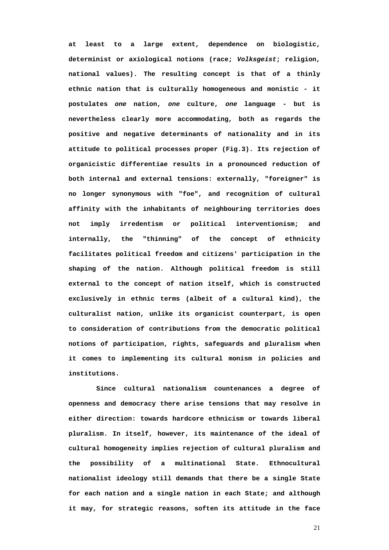**at least to a large extent, dependence on biologistic, determinist or axiological notions (race;** *Volksgeist***; religion, national values). The resulting concept is that of a thinly ethnic nation that is culturally homogeneous and monistic - it postulates** *one* **nation,** *one* **culture,** *one* **language - but is nevertheless clearly more accommodating, both as regards the positive and negative determinants of nationality and in its attitude to political processes proper (Fig.3). Its rejection of organicistic differentiae results in a pronounced reduction of both internal and external tensions: externally, "foreigner" is no longer synonymous with "foe", and recognition of cultural affinity with the inhabitants of neighbouring territories does not imply irredentism or political interventionism; and internally, the "thinning" of the concept of ethnicity facilitates political freedom and citizens' participation in the shaping of the nation. Although political freedom is still external to the concept of nation itself, which is constructed exclusively in ethnic terms (albeit of a cultural kind), the culturalist nation, unlike its organicist counterpart, is open to consideration of contributions from the democratic political notions of participation, rights, safeguards and pluralism when it comes to implementing its cultural monism in policies and institutions.** 

 **Since cultural nationalism countenances a degree of openness and democracy there arise tensions that may resolve in either direction: towards hardcore ethnicism or towards liberal pluralism. In itself, however, its maintenance of the ideal of cultural homogeneity implies rejection of cultural pluralism and the possibility of a multinational State. Ethnocultural nationalist ideology still demands that there be a single State for each nation and a single nation in each State; and although it may, for strategic reasons, soften its attitude in the face**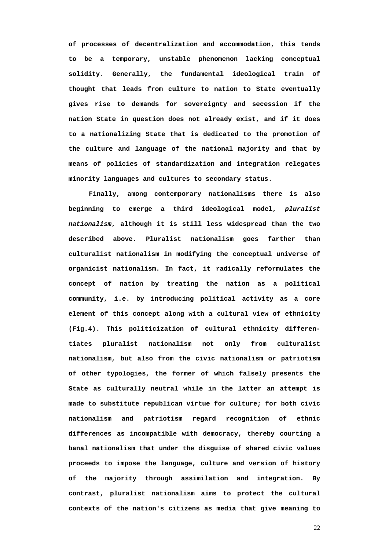**of processes of decentralization and accommodation, this tends to be a temporary, unstable phenomenon lacking conceptual solidity. Generally, the fundamental ideological train of thought that leads from culture to nation to State eventually gives rise to demands for sovereignty and secession if the nation State in question does not already exist, and if it does to a nationalizing State that is dedicated to the promotion of the culture and language of the national majority and that by means of policies of standardization and integration relegates minority languages and cultures to secondary status.** 

**Finally, among contemporary nationalisms there is also beginning to emerge a third ideological model,** *pluralist nationalism***, although it is still less widespread than the two described above. Pluralist nationalism goes farther than culturalist nationalism in modifying the conceptual universe of organicist nationalism. In fact, it radically reformulates the concept of nation by treating the nation as a political community, i.e. by introducing political activity as a core element of this concept along with a cultural view of ethnicity (Fig.4). This politicization of cultural ethnicity differentiates pluralist nationalism not only from culturalist nationalism, but also from the civic nationalism or patriotism of other typologies, the former of which falsely presents the State as culturally neutral while in the latter an attempt is made to substitute republican virtue for culture; for both civic nationalism and patriotism regard recognition of ethnic differences as incompatible with democracy, thereby courting a banal nationalism that under the disguise of shared civic values proceeds to impose the language, culture and version of history of the majority through assimilation and integration. By contrast, pluralist nationalism aims to protect the cultural contexts of the nation's citizens as media that give meaning to**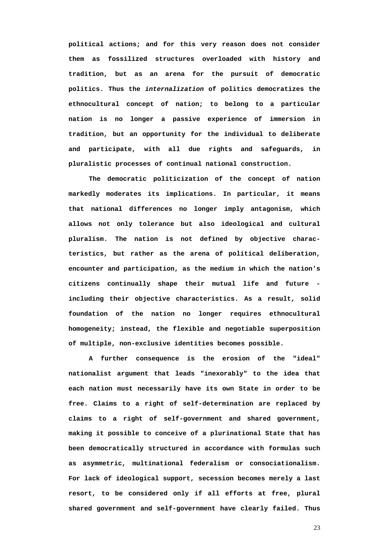**political actions; and for this very reason does not consider them as fossilized structures overloaded with history and tradition, but as an arena for the pursuit of democratic politics. Thus the** *internalization* **of politics democratizes the ethnocultural concept of nation; to belong to a particular nation is no longer a passive experience of immersion in tradition, but an opportunity for the individual to deliberate and participate, with all due rights and safeguards, in pluralistic processes of continual national construction.** 

**The democratic politicization of the concept of nation markedly moderates its implications. In particular, it means that national differences no longer imply antagonism, which allows not only tolerance but also ideological and cultural pluralism. The nation is not defined by objective characteristics, but rather as the arena of political deliberation, encounter and participation, as the medium in which the nation's citizens continually shape their mutual life and future including their objective characteristics. As a result, solid foundation of the nation no longer requires ethnocultural homogeneity; instead, the flexible and negotiable superposition of multiple, non-exclusive identities becomes possible.** 

**A further consequence is the erosion of the "ideal" nationalist argument that leads "inexorably" to the idea that each nation must necessarily have its own State in order to be free. Claims to a right of self-determination are replaced by claims to a right of self-government and shared government, making it possible to conceive of a plurinational State that has been democratically structured in accordance with formulas such as asymmetric, multinational federalism or consociationalism. For lack of ideological support, secession becomes merely a last resort, to be considered only if all efforts at free, plural shared government and self-government have clearly failed. Thus**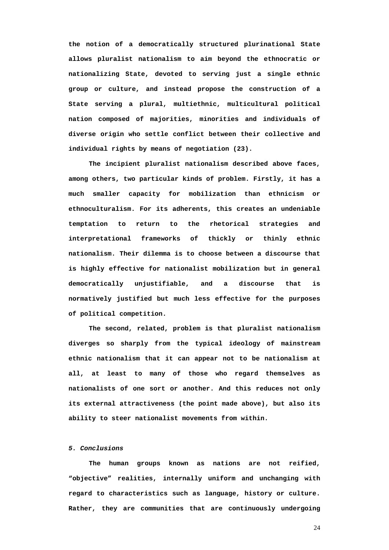**the notion of a democratically structured plurinational State allows pluralist nationalism to aim beyond the ethnocratic or nationalizing State, devoted to serving just a single ethnic group or culture, and instead propose the construction of a State serving a plural, multiethnic, multicultural political nation composed of majorities, minorities and individuals of diverse origin who settle conflict between their collective and individual rights by means of negotiation (23).** 

**The incipient pluralist nationalism described above faces, among others, two particular kinds of problem. Firstly, it has a much smaller capacity for mobilization than ethnicism or ethnoculturalism. For its adherents, this creates an undeniable temptation to return to the rhetorical strategies and interpretational frameworks of thickly or thinly ethnic nationalism. Their dilemma is to choose between a discourse that is highly effective for nationalist mobilization but in general democratically unjustifiable, and a discourse that is normatively justified but much less effective for the purposes of political competition.** 

**The second, related, problem is that pluralist nationalism diverges so sharply from the typical ideology of mainstream ethnic nationalism that it can appear not to be nationalism at all, at least to many of those who regard themselves as nationalists of one sort or another. And this reduces not only its external attractiveness (the point made above), but also its ability to steer nationalist movements from within.** 

# *5. Conclusions*

**The human groups known as nations are not reified, "objective" realities, internally uniform and unchanging with regard to characteristics such as language, history or culture. Rather, they are communities that are continuously undergoing**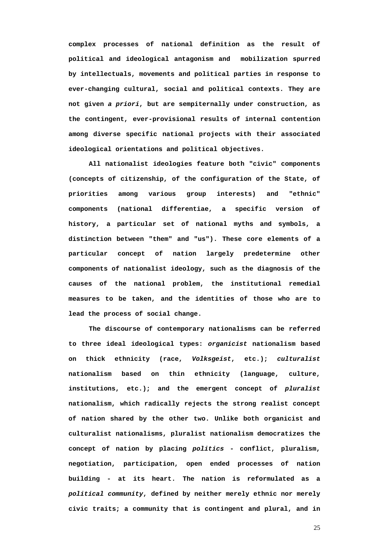**complex processes of national definition as the result of political and ideological antagonism and mobilization spurred by intellectuals, movements and political parties in response to ever-changing cultural, social and political contexts. They are not given** *a priori***, but are sempiternally under construction, as the contingent, ever-provisional results of internal contention among diverse specific national projects with their associated ideological orientations and political objectives.** 

**All nationalist ideologies feature both "civic" components (concepts of citizenship, of the configuration of the State, of priorities among various group interests) and "ethnic" components (national differentiae, a specific version of history, a particular set of national myths and symbols, a distinction between "them" and "us"). These core elements of a particular concept of nation largely predetermine other components of nationalist ideology, such as the diagnosis of the causes of the national problem, the institutional remedial measures to be taken, and the identities of those who are to lead the process of social change.** 

**The discourse of contemporary nationalisms can be referred to three ideal ideological types:** *organicist* **nationalism based on thick ethnicity (race,** *Volksgeist***, etc.);** *culturalist* **nationalism based on thin ethnicity (language, culture, institutions, etc.); and the emergent concept of** *pluralist*  **nationalism, which radically rejects the strong realist concept of nation shared by the other two. Unlike both organicist and culturalist nationalisms, pluralist nationalism democratizes the concept of nation by placing** *politics* **- conflict, pluralism, negotiation, participation, open ended processes of nation building - at its heart. The nation is reformulated as a**  *political community***, defined by neither merely ethnic nor merely civic traits; a community that is contingent and plural, and in**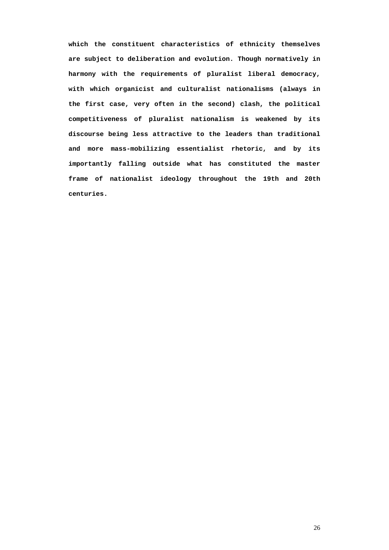**which the constituent characteristics of ethnicity themselves are subject to deliberation and evolution. Though normatively in harmony with the requirements of pluralist liberal democracy, with which organicist and culturalist nationalisms (always in the first case, very often in the second) clash, the political competitiveness of pluralist nationalism is weakened by its discourse being less attractive to the leaders than traditional and more mass-mobilizing essentialist rhetoric, and by its importantly falling outside what has constituted the master frame of nationalist ideology throughout the 19th and 20th centuries.**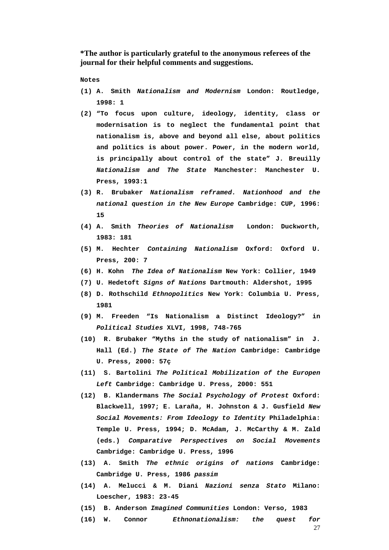**\*The author is particularly grateful to the anonymous referees of the journal for their helpful comments and suggestions.** 

 **Notes** 

- **(1) A. Smith** *Nationalism and Modernism* **London: Routledge, 1998: 1**
- **(2) "To focus upon culture, ideology, identity, class or modernisation is to neglect the fundamental point that nationalism is, above and beyond all else, about politics and politics is about power. Power, in the modern world, is principally about control of the state" J. Breuilly**  *Nationalism and The State* **Manchester: Manchester U. Press, 1993:1**
- **(3) R. Brubaker** *Nationalism reframed. Nationhood and the national question in the New Europe* **Cambridge: CUP, 1996: 15**
- **(4) A. Smith** *Theories of Nationalism* **London: Duckworth, 1983: 181**
- **(5) M. Hechter** *Containing Nationalism* **Oxford: Oxford U. Press, 200: 7**
- **(6) H. Kohn** *The Idea of Nationalism* **New York: Collier, 1949**
- **(7) U. Hedetoft** *Signs of Nations* **Dartmouth: Aldershot, 1995**
- **(8) D. Rothschild** *Ethnopolitics* **New York: Columbia U. Press, 1981**
- **(9) M. Freeden "Is Nationalism a Distinct Ideology?" in**  *Political Studies* **XLVI, 1998, 748-765**
- **(10) R. Brubaker "Myths in the study of nationalism" in J. Hall (Ed.)** *The State of The Nation* **Cambridge: Cambridge U. Press, 2000: 57ç**
- **(11) S. Bartolini** *The Political Mobilization of the Europen Left* **Cambridge: Cambridge U. Press, 2000: 551**
- **(12) B. Klandermans** *The Social Psychology of Protest* **Oxford: Blackwell, 1997; E. Laraña, H. Johnston & J. Gusfield** *New Social Movements: From Ideology to Identity* **Philadelphia: Temple U. Press, 1994; D. McAdam, J. McCarthy & M. Zald (eds.)** *Comparative Perspectives on Social Movements* **Cambridge: Cambridge U. Press, 1996**
- **(13) A. Smith** *The ethnic origins of nations* **Cambridge: Cambridge U. Press, 1986** *passim*
- **(14) A. Melucci & M. Diani** *Nazioni senza Stato* **Milano: Loescher, 1983: 23-45**
- **(15) B. Anderson** *Imagined Communities* **London: Verso, 1983**
- **(16) W. Connor** *Ethnonationalism: the quest for*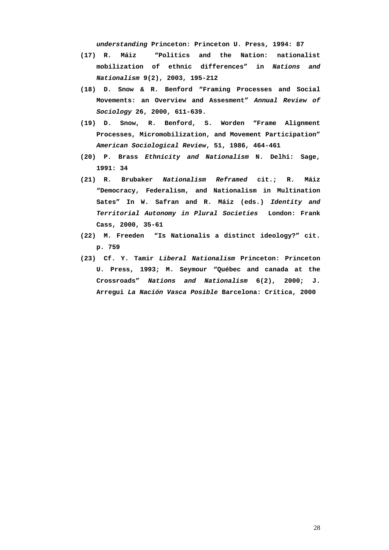*understanding* **Princeton: Princeton U. Press, 1994: 87** 

- **(17) R. Máiz "Politics and the Nation: nationalist mobilization of ethnic differences" in** *Nations and Nationalism* **9(2), 2003, 195-212**
- **(18) D. Snow & R. Benford "Framing Processes and Social Movements: an Overview and Assesment"** *Annual Review of Sociology* **26, 2000, 611-639.**
- **(19) D. Snow, R. Benford, S. Worden "Frame Alignment Processes, Micromobilization, and Movement Participation"**  *American Sociological Review***, 51, 1986, 464-461**
- **(20) P. Brass** *Ethnicity and Nationalism* **N. Delhi: Sage, 1991: 34**
- **(21) R. Brubaker** *Nationalism Reframed* **cit.; R. Máiz "Democracy, Federalism, and Nationalism in Multination Sates" In W. Safran and R. Máiz (eds.)** *Identity and Territorial Autonomy in Plural Societies* **London: Frank Cass, 2000, 35-61**
- **(22) M. Freeden "Is Nationalis a distinct ideology?" cit. p. 759**
- **(23) Cf. Y. Tamir** *Liberal Nationalism* **Princeton: Princeton U. Press, 1993; M. Seymour "Québec and canada at the Crossroads"** *Nations and Nationalism* **6(2), 2000; J. Arregui** *La Nación Vasca Posible* **Barcelona: Crítica, 2000**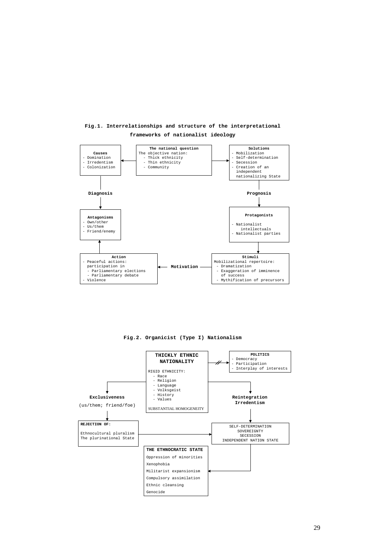